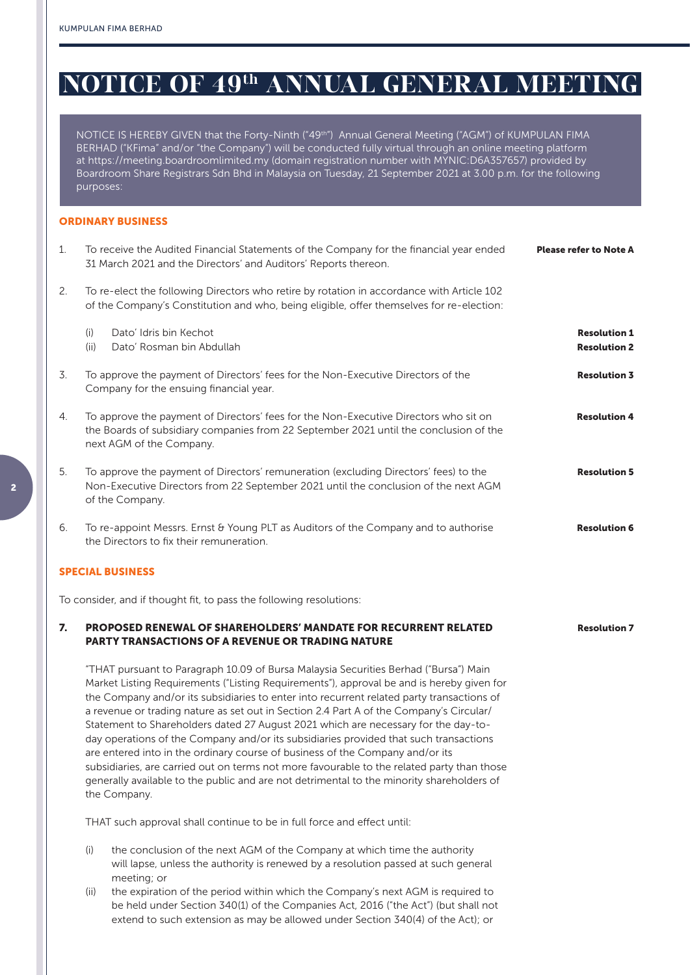# **NOTICE OF 49th ANNUAL GENERAL MEETING**

NOTICE IS HEREBY GIVEN that the Forty-Ninth ("49th") Annual General Meeting ("AGM") of KUMPULAN FIMA BERHAD ("KFima" and/or "the Company") will be conducted fully virtual through an online meeting platform at https://meeting.boardroomlimited.my (domain registration number with MYNIC:D6A357657) provided by Boardroom Share Registrars Sdn Bhd in Malaysia on Tuesday, 21 September 2021 at 3.00 p.m. for the following purposes:

#### ORDINARY BUSINESS

| 1. | To receive the Audited Financial Statements of the Company for the financial year ended<br><b>Please refer to Note A</b><br>31 March 2021 and the Directors' and Auditors' Reports thereon.                                                                                                                                                                                                                                                                                                                                                                                                                                                                                                                                                                                                                                                          |                                            |  |  |  |
|----|------------------------------------------------------------------------------------------------------------------------------------------------------------------------------------------------------------------------------------------------------------------------------------------------------------------------------------------------------------------------------------------------------------------------------------------------------------------------------------------------------------------------------------------------------------------------------------------------------------------------------------------------------------------------------------------------------------------------------------------------------------------------------------------------------------------------------------------------------|--------------------------------------------|--|--|--|
| 2. | To re-elect the following Directors who retire by rotation in accordance with Article 102<br>of the Company's Constitution and who, being eligible, offer themselves for re-election:                                                                                                                                                                                                                                                                                                                                                                                                                                                                                                                                                                                                                                                                |                                            |  |  |  |
|    | Dato' Idris bin Kechot<br>(i)<br>(ii)<br>Dato' Rosman bin Abdullah                                                                                                                                                                                                                                                                                                                                                                                                                                                                                                                                                                                                                                                                                                                                                                                   | <b>Resolution 1</b><br><b>Resolution 2</b> |  |  |  |
| 3. | To approve the payment of Directors' fees for the Non-Executive Directors of the<br>Company for the ensuing financial year.                                                                                                                                                                                                                                                                                                                                                                                                                                                                                                                                                                                                                                                                                                                          | <b>Resolution 3</b>                        |  |  |  |
| 4. | To approve the payment of Directors' fees for the Non-Executive Directors who sit on<br><b>Resolution 4</b><br>the Boards of subsidiary companies from 22 September 2021 until the conclusion of the<br>next AGM of the Company.                                                                                                                                                                                                                                                                                                                                                                                                                                                                                                                                                                                                                     |                                            |  |  |  |
| 5. | To approve the payment of Directors' remuneration (excluding Directors' fees) to the<br><b>Resolution 5</b><br>Non-Executive Directors from 22 September 2021 until the conclusion of the next AGM<br>of the Company.                                                                                                                                                                                                                                                                                                                                                                                                                                                                                                                                                                                                                                |                                            |  |  |  |
| 6. | To re-appoint Messrs. Ernst & Young PLT as Auditors of the Company and to authorise<br>the Directors to fix their remuneration.                                                                                                                                                                                                                                                                                                                                                                                                                                                                                                                                                                                                                                                                                                                      | <b>Resolution 6</b>                        |  |  |  |
|    | <b>SPECIAL BUSINESS</b>                                                                                                                                                                                                                                                                                                                                                                                                                                                                                                                                                                                                                                                                                                                                                                                                                              |                                            |  |  |  |
|    | To consider, and if thought fit, to pass the following resolutions:                                                                                                                                                                                                                                                                                                                                                                                                                                                                                                                                                                                                                                                                                                                                                                                  |                                            |  |  |  |
| 7. | <b>PROPOSED RENEWAL OF SHAREHOLDERS' MANDATE FOR RECURRENT RELATED</b><br><b>PARTY TRANSACTIONS OF A REVENUE OR TRADING NATURE</b>                                                                                                                                                                                                                                                                                                                                                                                                                                                                                                                                                                                                                                                                                                                   | <b>Resolution 7</b>                        |  |  |  |
|    | "THAT pursuant to Paragraph 10.09 of Bursa Malaysia Securities Berhad ("Bursa") Main<br>Market Listing Requirements ("Listing Requirements"), approval be and is hereby given for<br>the Company and/or its subsidiaries to enter into recurrent related party transactions of<br>a revenue or trading nature as set out in Section 2.4 Part A of the Company's Circular/<br>Statement to Shareholders dated 27 August 2021 which are necessary for the day-to-<br>day operations of the Company and/or its subsidiaries provided that such transactions<br>are entered into in the ordinary course of business of the Company and/or its<br>subsidiaries, are carried out on terms not more favourable to the related party than those<br>generally available to the public and are not detrimental to the minority shareholders of<br>the Company. |                                            |  |  |  |

THAT such approval shall continue to be in full force and effect until:

- (i) the conclusion of the next AGM of the Company at which time the authority will lapse, unless the authority is renewed by a resolution passed at such general meeting; or
- (ii) the expiration of the period within which the Company's next AGM is required to be held under Section 340(1) of the Companies Act, 2016 ("the Act") (but shall not extend to such extension as may be allowed under Section 340(4) of the Act); or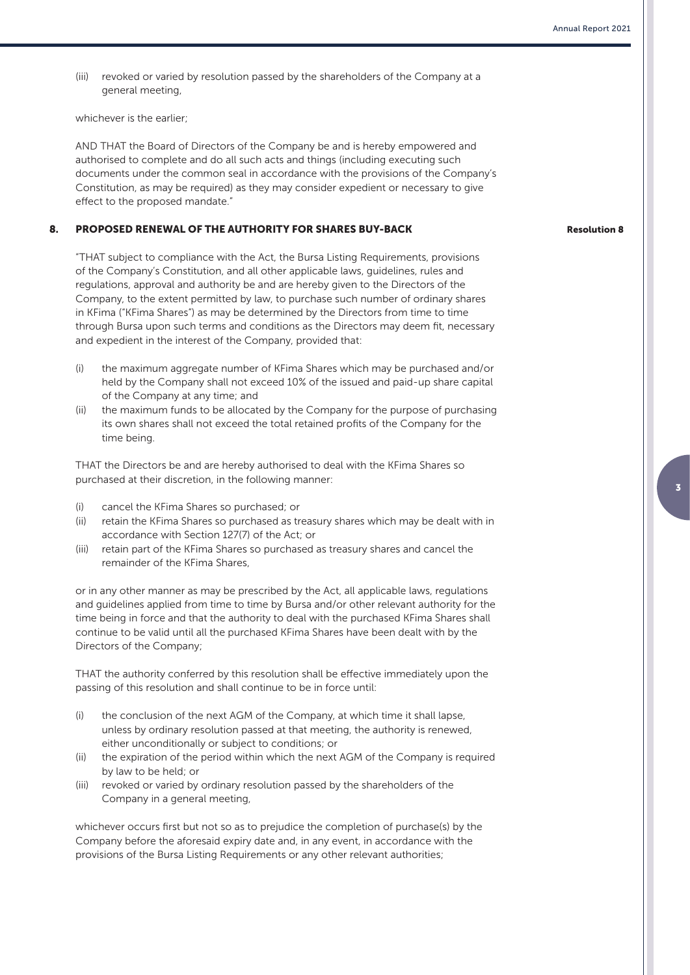(iii) revoked or varied by resolution passed by the shareholders of the Company at a general meeting,

whichever is the earlier;

AND THAT the Board of Directors of the Company be and is hereby empowered and authorised to complete and do all such acts and things (including executing such documents under the common seal in accordance with the provisions of the Company's Constitution, as may be required) as they may consider expedient or necessary to give effect to the proposed mandate."

#### 8. PROPOSED RENEWAL OF THE AUTHORITY FOR SHARES BUY-BACK

"THAT subject to compliance with the Act, the Bursa Listing Requirements, provisions of the Company's Constitution, and all other applicable laws, guidelines, rules and regulations, approval and authority be and are hereby given to the Directors of the Company, to the extent permitted by law, to purchase such number of ordinary shares in KFima ("KFima Shares") as may be determined by the Directors from time to time through Bursa upon such terms and conditions as the Directors may deem fit, necessary and expedient in the interest of the Company, provided that:

- (i) the maximum aggregate number of KFima Shares which may be purchased and/or held by the Company shall not exceed 10% of the issued and paid-up share capital of the Company at any time; and
- (ii) the maximum funds to be allocated by the Company for the purpose of purchasing its own shares shall not exceed the total retained profits of the Company for the time being.

THAT the Directors be and are hereby authorised to deal with the KFima Shares so purchased at their discretion, in the following manner:

- (i) cancel the KFima Shares so purchased; or
- (ii) retain the KFima Shares so purchased as treasury shares which may be dealt with in accordance with Section 127(7) of the Act; or
- (iii) retain part of the KFima Shares so purchased as treasury shares and cancel the remainder of the KFima Shares,

or in any other manner as may be prescribed by the Act, all applicable laws, regulations and guidelines applied from time to time by Bursa and/or other relevant authority for the time being in force and that the authority to deal with the purchased KFima Shares shall continue to be valid until all the purchased KFima Shares have been dealt with by the Directors of the Company;

THAT the authority conferred by this resolution shall be effective immediately upon the passing of this resolution and shall continue to be in force until:

- (i) the conclusion of the next AGM of the Company, at which time it shall lapse, unless by ordinary resolution passed at that meeting, the authority is renewed, either unconditionally or subject to conditions; or
- (ii) the expiration of the period within which the next AGM of the Company is required by law to be held; or
- (iii) revoked or varied by ordinary resolution passed by the shareholders of the Company in a general meeting,

whichever occurs first but not so as to prejudice the completion of purchase(s) by the Company before the aforesaid expiry date and, in any event, in accordance with the provisions of the Bursa Listing Requirements or any other relevant authorities;

#### Resolution 8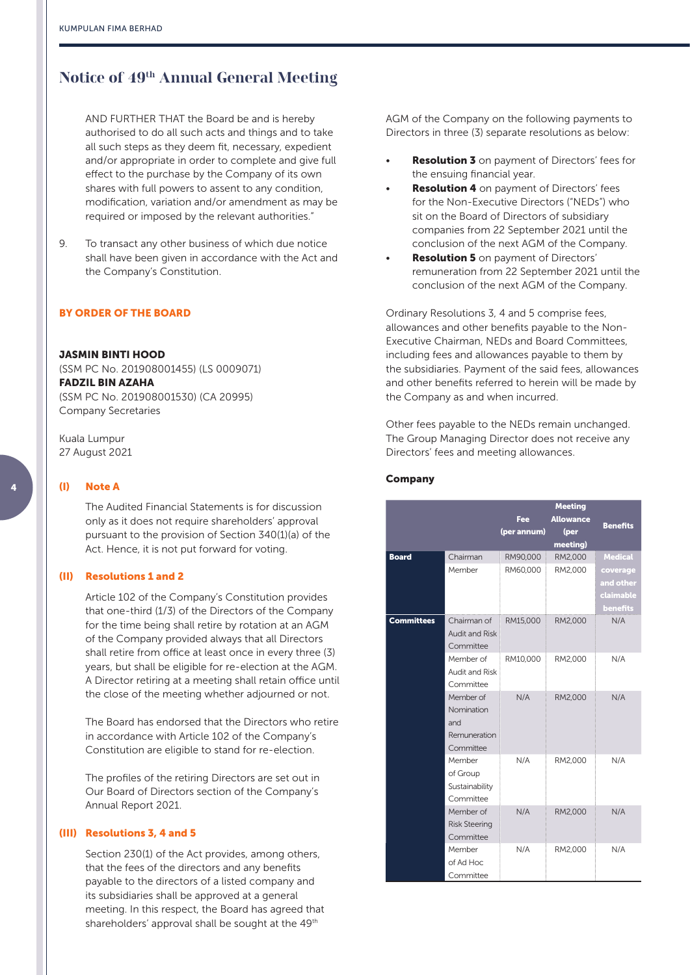## **Notice of 49th Annual General Meeting**

AND FURTHER THAT the Board be and is hereby authorised to do all such acts and things and to take all such steps as they deem fit, necessary, expedient and/or appropriate in order to complete and give full effect to the purchase by the Company of its own shares with full powers to assent to any condition, modification, variation and/or amendment as may be required or imposed by the relevant authorities."

9. To transact any other business of which due notice shall have been given in accordance with the Act and the Company's Constitution.

### BY ORDER OF THE BOARD

#### JASMIN BINTI HOOD

(SSM PC No. 201908001455) (LS 0009071) FADZIL BIN AZAHA (SSM PC No. 201908001530) (CA 20995) Company Secretaries

Kuala Lumpur 27 August 2021

#### (I) Note A

The Audited Financial Statements is for discussion only as it does not require shareholders' approval pursuant to the provision of Section 340(1)(a) of the Act. Hence, it is not put forward for voting.

#### (II) Resolutions 1 and 2

Article 102 of the Company's Constitution provides that one-third (1/3) of the Directors of the Company for the time being shall retire by rotation at an AGM of the Company provided always that all Directors shall retire from office at least once in every three (3) years, but shall be eligible for re-election at the AGM. A Director retiring at a meeting shall retain office until the close of the meeting whether adjourned or not.

The Board has endorsed that the Directors who retire in accordance with Article 102 of the Company's Constitution are eligible to stand for re-election.

The profiles of the retiring Directors are set out in Our Board of Directors section of the Company's Annual Report 2021.

#### (III) Resolutions 3, 4 and 5

Section 230(1) of the Act provides, among others, that the fees of the directors and any benefits payable to the directors of a listed company and its subsidiaries shall be approved at a general meeting. In this respect, the Board has agreed that shareholders' approval shall be sought at the 49<sup>th</sup>

AGM of the Company on the following payments to Directors in three (3) separate resolutions as below:

- **Resolution 3** on payment of Directors' fees for the ensuing financial year.
- **Resolution 4** on payment of Directors' fees for the Non-Executive Directors ("NEDs") who sit on the Board of Directors of subsidiary companies from 22 September 2021 until the conclusion of the next AGM of the Company.
- **Resolution 5** on payment of Directors' remuneration from 22 September 2021 until the conclusion of the next AGM of the Company.

Ordinary Resolutions 3, 4 and 5 comprise fees, allowances and other benefits payable to the Non-Executive Chairman, NEDs and Board Committees, including fees and allowances payable to them by the subsidiaries. Payment of the said fees, allowances and other benefits referred to herein will be made by the Company as and when incurred.

Other fees payable to the NEDs remain unchanged. The Group Managing Director does not receive any Directors' fees and meeting allowances.

#### Company

|                   |                       | <b>Meeting</b> |                  |                 |
|-------------------|-----------------------|----------------|------------------|-----------------|
|                   |                       | Fee            | <b>Allowance</b> | <b>Benefits</b> |
|                   |                       | (per annum)    | (per             |                 |
|                   |                       |                | meeting)         |                 |
| <b>Board</b>      | Chairman              | RM90,000       | RM2,000          | <b>Medical</b>  |
|                   | Member                | RM60,000       | RM2,000          | coverage        |
|                   |                       |                |                  | and other       |
|                   |                       |                |                  | claimable       |
|                   |                       |                |                  | benefits        |
| <b>Committees</b> | Chairman of           | RM15,000       | RM2,000          | N/A             |
|                   | <b>Audit and Risk</b> |                |                  |                 |
|                   | Committee             |                |                  |                 |
|                   | Member of             | RM10,000       | RM2,000          | N/A             |
|                   | <b>Audit and Risk</b> |                |                  |                 |
|                   | Committee             |                |                  |                 |
|                   | Member of             | N/A            | RM2,000          | N/A             |
|                   | Nomination            |                |                  |                 |
|                   | and                   |                |                  |                 |
|                   | Remuneration          |                |                  |                 |
|                   | Committee             |                |                  |                 |
|                   | Member                | N/A            | RM2,000          | N/A             |
|                   | of Group              |                |                  |                 |
|                   | Sustainability        |                |                  |                 |
|                   | Committee             |                |                  |                 |
|                   | Member of             | N/A            | RM2,000          | N/A             |
|                   | <b>Risk Steering</b>  |                |                  |                 |
|                   | Committee             |                |                  |                 |
|                   | Member                | N/A            | RM2,000          | N/A             |
|                   | of Ad Hoc             |                |                  |                 |
|                   | Committee             |                |                  |                 |

4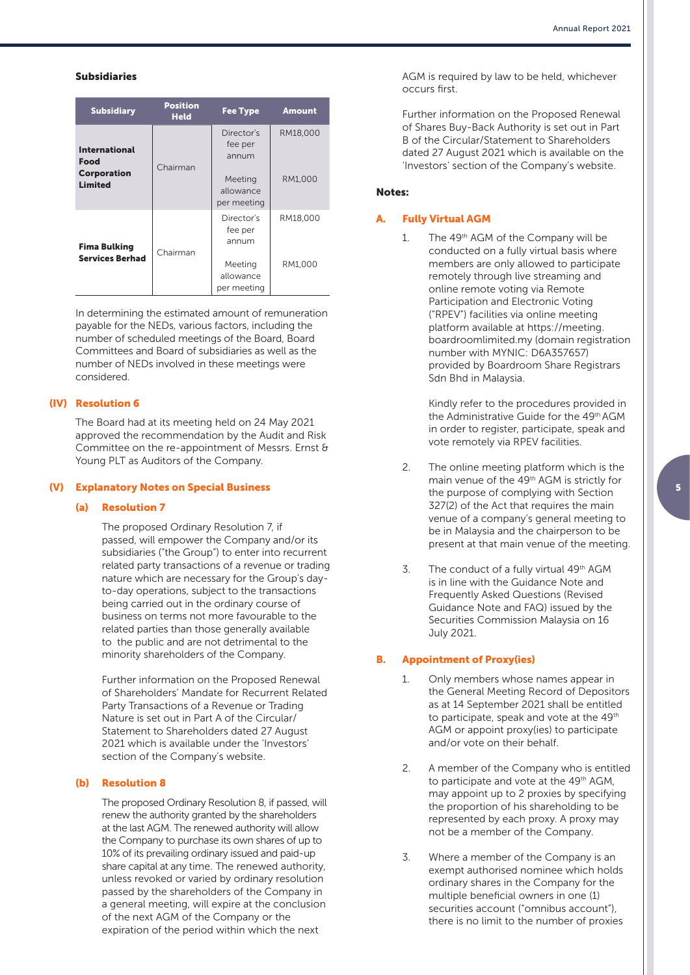#### Subsidiaries

| <b>Subsidiary</b>                                                           | <b>Position</b><br><b>Held</b> | <b>Fee Type</b>                                                       | <b>Amount</b>       |
|-----------------------------------------------------------------------------|--------------------------------|-----------------------------------------------------------------------|---------------------|
| <b>International</b><br><b>Food</b><br><b>Corporation</b><br><b>Limited</b> | Chairman                       | Director's<br>fee per<br>annum<br>Meeting<br>allowance<br>per meeting | RM18,000<br>RM1.000 |
| <b>Fima Bulking</b><br><b>Services Berhad</b>                               | Chairman                       | Director's<br>fee per<br>annum<br>Meeting<br>allowance<br>per meeting | RM18,000<br>RM1.000 |

In determining the estimated amount of remuneration payable for the NEDs, various factors, including the number of scheduled meetings of the Board, Board Committees and Board of subsidiaries as well as the number of NEDs involved in these meetings were considered.

#### (IV) Resolution 6

The Board had at its meeting held on 24 May 2021 approved the recommendation by the Audit and Risk Committee on the re-appointment of Messrs. Ernst & Young PLT as Auditors of the Company.

#### (V) Explanatory Notes on Special Business

#### (a) Resolution 7

The proposed Ordinary Resolution 7, if passed, will empower the Company and/or its subsidiaries ("the Group") to enter into recurrent related party transactions of a revenue or trading nature which are necessary for the Group's dayto-day operations, subject to the transactions being carried out in the ordinary course of business on terms not more favourable to the related parties than those generally available to the public and are not detrimental to the minority shareholders of the Company.

Further information on the Proposed Renewal of Shareholders' Mandate for Recurrent Related Party Transactions of a Revenue or Trading Nature is set out in Part A of the Circular/ Statement to Shareholders dated 27 August 2021 which is available under the 'Investors' section of the Company's website.

#### (b) Resolution 8

The proposed Ordinary Resolution 8, if passed, will renew the authority granted by the shareholders at the last AGM. The renewed authority will allow the Company to purchase its own shares of up to 10% of its prevailing ordinary issued and paid-up share capital at any time. The renewed authority, unless revoked or varied by ordinary resolution passed by the shareholders of the Company in a general meeting, will expire at the conclusion of the next AGM of the Company or the expiration of the period within which the next

AGM is required by law to be held, whichever occurs first.

Further information on the Proposed Renewal of Shares Buy-Back Authority is set out in Part B of the Circular/Statement to Shareholders dated 27 August 2021 which is available on the 'Investors' section of the Company's website.

#### Notes:

#### A. Fully Virtual AGM

1 The 49<sup>th</sup> AGM of the Company will be conducted on a fully virtual basis where members are only allowed to participate remotely through live streaming and online remote voting via Remote Participation and Electronic Voting ("RPEV") facilities via online meeting platform available at https://meeting. boardroomlimited.my (domain registration number with MYNIC: D6A357657) provided by Boardroom Share Registrars Sdn Bhd in Malaysia.

> Kindly refer to the procedures provided in the Administrative Guide for the 49<sup>th</sup> AGM in order to register, participate, speak and vote remotely via RPEV facilities.

- 2. The online meeting platform which is the main venue of the 49th AGM is strictly for the purpose of complying with Section 327(2) of the Act that requires the main venue of a company's general meeting to be in Malaysia and the chairperson to be present at that main venue of the meeting.
- 3. The conduct of a fully virtual 49th AGM is in line with the Guidance Note and Frequently Asked Questions (Revised Guidance Note and FAQ) issued by the Securities Commission Malaysia on 16 July 2021.

#### B. Appointment of Proxy(ies)

- 1. Only members whose names appear in the General Meeting Record of Depositors as at 14 September 2021 shall be entitled to participate, speak and vote at the 49<sup>th</sup> AGM or appoint proxy(ies) to participate and/or vote on their behalf.
- 2. A member of the Company who is entitled to participate and vote at the 49<sup>th</sup> AGM. may appoint up to 2 proxies by specifying the proportion of his shareholding to be represented by each proxy. A proxy may not be a member of the Company.
- 3. Where a member of the Company is an exempt authorised nominee which holds ordinary shares in the Company for the multiple beneficial owners in one (1) securities account ("omnibus account") there is no limit to the number of proxies